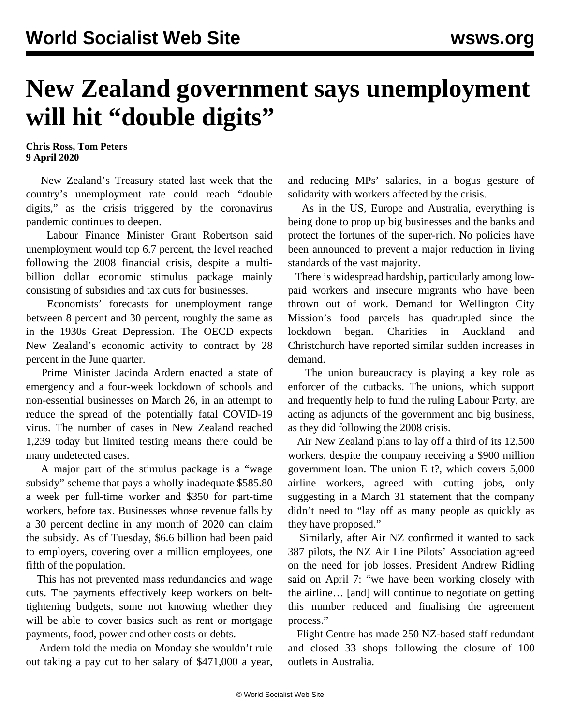## **New Zealand government says unemployment will hit "double digits"**

**Chris Ross, Tom Peters 9 April 2020**

 New Zealand's Treasury stated last week that the country's unemployment rate could reach "double digits," as the crisis triggered by the coronavirus pandemic continues to deepen.

 Labour Finance Minister Grant Robertson said unemployment would top 6.7 percent, the level reached following the 2008 financial crisis, despite a multibillion dollar economic stimulus package mainly consisting of subsidies and tax cuts for businesses.

 Economists' forecasts for unemployment range between 8 percent and 30 percent, roughly the same as in the 1930s Great Depression. The OECD expects New Zealand's economic activity to contract by 28 percent in the June quarter.

 Prime Minister Jacinda Ardern enacted a state of emergency and a four-week lockdown of schools and non-essential businesses on March 26, in an attempt to reduce the spread of the potentially fatal COVID-19 virus. The number of cases in New Zealand reached 1,239 today but limited testing means there could be many undetected cases.

 A major part of the stimulus package is a "wage subsidy" scheme that pays a wholly inadequate \$585.80 a week per full-time worker and \$350 for part-time workers, before tax. Businesses whose revenue falls by a 30 percent decline in any month of 2020 can claim the subsidy. As of Tuesday, \$6.6 billion had been paid to employers, covering over a million employees, one fifth of the population.

 This has not prevented mass redundancies and wage cuts. The payments effectively keep workers on belttightening budgets, some not knowing whether they will be able to cover basics such as rent or mortgage payments, food, power and other costs or debts.

 Ardern told the media on Monday she wouldn't rule out taking a pay cut to her salary of \$471,000 a year, and reducing MPs' salaries, in a bogus gesture of solidarity with workers affected by the crisis.

 As in the US, Europe and Australia, everything is being done to prop up big businesses and the banks and protect the fortunes of the super-rich. No policies have been announced to prevent a major reduction in living standards of the vast majority.

 There is widespread hardship, particularly among lowpaid workers and insecure migrants who have been thrown out of work. Demand for Wellington City Mission's food parcels has quadrupled since the lockdown began. Charities in Auckland and Christchurch have reported similar sudden increases in demand.

 The union bureaucracy is playing a key role as enforcer of the cutbacks. The unions, which support and frequently help to fund the ruling Labour Party, are acting as adjuncts of the government and big business, as they did following the 2008 crisis.

 Air New Zealand plans to lay off a third of its 12,500 workers, despite the company receiving a \$900 million government loan. The union E t?, which covers 5,000 airline workers, agreed with cutting jobs, only suggesting in a March 31 statement that the company didn't need to "lay off as many people as quickly as they have proposed."

 Similarly, after Air NZ confirmed it wanted to sack 387 pilots, the NZ Air Line Pilots' Association agreed on the need for job losses. President Andrew Ridling said on April 7: "we have been working closely with the airline… [and] will continue to negotiate on getting this number reduced and finalising the agreement process."

 Flight Centre has made 250 NZ-based staff redundant and closed 33 shops following the closure of 100 outlets in Australia.